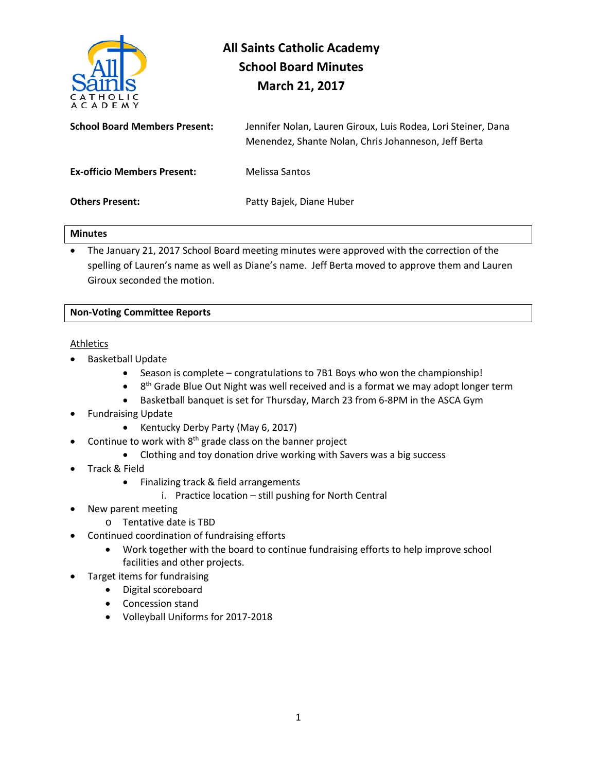

# **All Saints Catholic Academy School Board Minutes March 21, 2017**

| <b>School Board Members Present:</b> | Jennifer Nolan, Lauren Giroux, Luis Rodea, Lori Steiner, Dana<br>Menendez, Shante Nolan, Chris Johanneson, Jeff Berta |
|--------------------------------------|-----------------------------------------------------------------------------------------------------------------------|
| <b>Ex-officio Members Present:</b>   | Melissa Santos                                                                                                        |
| <b>Others Present:</b>               | Patty Bajek, Diane Huber                                                                                              |

#### **Minutes**

• The January 21, 2017 School Board meeting minutes were approved with the correction of the spelling of Lauren's name as well as Diane's name. Jeff Berta moved to approve them and Lauren Giroux seconded the motion.

#### **Non-Voting Committee Reports**

#### Athletics

- Basketball Update
	- Season is complete congratulations to 7B1 Boys who won the championship!
	- $\bullet$  8<sup>th</sup> Grade Blue Out Night was well received and is a format we may adopt longer term
	- Basketball banquet is set for Thursday, March 23 from 6-8PM in the ASCA Gym
- Fundraising Update
	- Kentucky Derby Party (May 6, 2017)
- Continue to work with  $8<sup>th</sup>$  grade class on the banner project
	- Clothing and toy donation drive working with Savers was a big success
- Track & Field
	- Finalizing track & field arrangements
		- i. Practice location still pushing for North Central
- New parent meeting
	- o Tentative date is TBD
- Continued coordination of fundraising efforts
	- Work together with the board to continue fundraising efforts to help improve school facilities and other projects.
- Target items for fundraising
	- Digital scoreboard
		- Concession stand
		- Volleyball Uniforms for 2017-2018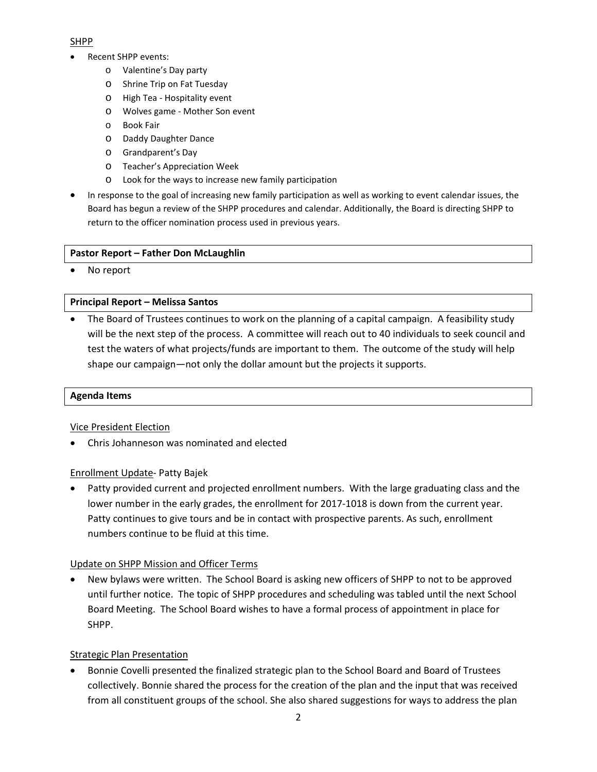### SHPP

- Recent SHPP events:
	- o Valentine's Day party
	- o Shrine Trip on Fat Tuesday
	- o High Tea Hospitality event
	- o Wolves game Mother Son event
	- o Book Fair
	- o Daddy Daughter Dance
	- o Grandparent's Day
	- o Teacher's Appreciation Week
	- o Look for the ways to increase new family participation
- In response to the goal of increasing new family participation as well as working to event calendar issues, the Board has begun a review of the SHPP procedures and calendar. Additionally, the Board is directing SHPP to return to the officer nomination process used in previous years.

## **Pastor Report – Father Don McLaughlin**

• No report

## **Principal Report – Melissa Santos**

• The Board of Trustees continues to work on the planning of a capital campaign. A feasibility study will be the next step of the process. A committee will reach out to 40 individuals to seek council and test the waters of what projects/funds are important to them. The outcome of the study will help shape our campaign—not only the dollar amount but the projects it supports.

#### **Agenda Items**

#### Vice President Election

• Chris Johanneson was nominated and elected

# Enrollment Update- Patty Bajek

• Patty provided current and projected enrollment numbers. With the large graduating class and the lower number in the early grades, the enrollment for 2017-1018 is down from the current year. Patty continues to give tours and be in contact with prospective parents. As such, enrollment numbers continue to be fluid at this time.

# Update on SHPP Mission and Officer Terms

• New bylaws were written. The School Board is asking new officers of SHPP to not to be approved until further notice. The topic of SHPP procedures and scheduling was tabled until the next School Board Meeting. The School Board wishes to have a formal process of appointment in place for SHPP.

# Strategic Plan Presentation

• Bonnie Covelli presented the finalized strategic plan to the School Board and Board of Trustees collectively. Bonnie shared the process for the creation of the plan and the input that was received from all constituent groups of the school. She also shared suggestions for ways to address the plan